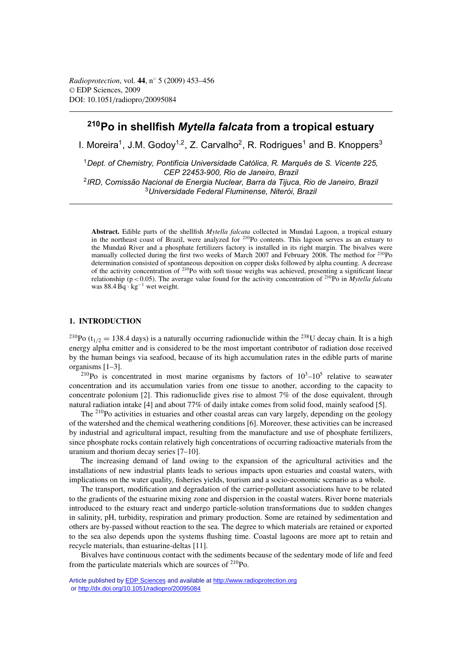# **210Po in shellfish** *Mytella falcata* **from a tropical estuary**

I. Moreira<sup>1</sup>, J.M. Godov<sup>1,2</sup>, Z. Carvalho<sup>2</sup>, R. Rodrigues<sup>1</sup> and B. Knoppers<sup>3</sup>

*Dept. of Chemistry, Pontifícia Universidade Católica, R. Marquês de S. Vicente 225, CEP 22453-900, Rio de Janeiro, Brazil IRD, Comissão Nacional de Energia Nuclear, Barra da Tijuca, Rio de Janeiro, Brazil Universidade Federal Fluminense, Niterói, Brazil*

**Abstract.** Edible parts of the shellfish *Mytella falcata* collected in Mundaú Lagoon, a tropical estuary in the northeast coast of Brazil, were analyzed for 210Po contents. This lagoon serves as an estuary to the Mundaú River and a phosphate fertilizers factory is installed in its right margin. The bivalves were manually collected during the first two weeks of March 2007 and February 2008. The method for <sup>210</sup>Po determination consisted of spontaneous deposition on copper disks followed by alpha counting. A decrease of the activity concentration of 210Po with soft tissue weighs was achieved, presenting a significant linear relationship ( $p < 0.05$ ). The average value found for the activity concentration of <sup>210</sup>Po in *Mytella falcata* was 88.4 Bq · kg−<sup>1</sup> wet weight.

# **1. INTRODUCTION**

<sup>210</sup>Po (t<sub>1/2</sub> = 138.4 days) is a naturally occurring radionuclide within the <sup>238</sup>U decay chain. It is a high energy alpha emitter and is considered to be the most important contributor of radiation dose received by the human beings via seafood, because of its high accumulation rates in the edible parts of marine organisms [1–3].

<sup>210</sup>Po is concentrated in most marine organisms by factors of  $10^3$ – $10^5$  relative to seawater concentration and its accumulation varies from one tissue to another, according to the capacity to concentrate polonium [2]. This radionuclide gives rise to almost 7% of the dose equivalent, through natural radiation intake [4] and about 77% of daily intake comes from solid food, mainly seafood [5].

The  $^{210}$ Po activities in estuaries and other coastal areas can vary largely, depending on the geology of the watershed and the chemical weathering conditions [6]. Moreover, these activities can be increased by industrial and agricultural impact, resulting from the manufacture and use of phosphate fertilizers, since phosphate rocks contain relatively high concentrations of occurring radioactive materials from the uranium and thorium decay series [7–10].

The increasing demand of land owing to the expansion of the agricultural activities and the installations of new industrial plants leads to serious impacts upon estuaries and coastal waters, with implications on the water quality, fisheries yields, tourism and a socio-economic scenario as a whole.

The transport, modification and degradation of the carrier-pollutant associations have to be related to the gradients of the estuarine mixing zone and dispersion in the coastal waters. River borne materials introduced to the estuary react and undergo particle-solution transformations due to sudden changes in salinity, pH, turbidity, respiration and primary production. Some are retained by sedimentation and others are by-passed without reaction to the sea. The degree to which materials are retained or exported to the sea also depends upon the systems flushing time. Coastal lagoons are more apt to retain and recycle materials, than estuarine-deltas [11].

Bivalves have continuous contact with the sediments because of the sedentary mode of life and feed from the particulate materials which are sources of 210Po.

Article published by **EDP Sciences** and available at<http://www.radioprotection.org> or <http://dx.doi.org/10.1051/radiopro/20095084>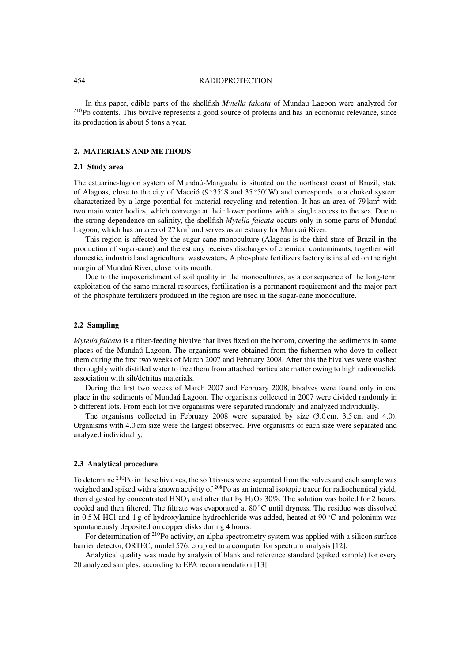#### 454 RADIOPROTECTION

In this paper, edible parts of the shellfish *Mytella falcata* of Mundau Lagoon were analyzed for 210Po contents. This bivalve represents a good source of proteins and has an economic relevance, since its production is about 5 tons a year.

# **2. MATERIALS AND METHODS**

# **2.1 Study area**

The estuarine-lagoon system of Mundaú-Manguaba is situated on the northeast coast of Brazil, state of Alagoas, close to the city of Maceió ( $9°35'$  S and  $35°50'$  W) and corresponds to a choked system characterized by a large potential for material recycling and retention. It has an area of  $79 \text{ km}^2$  with two main water bodies, which converge at their lower portions with a single access to the sea. Due to the strong dependence on salinity, the shellfish *Mytella falcata* occurs only in some parts of Mundaú Lagoon, which has an area of  $27 \text{ km}^2$  and serves as an estuary for Mundaú River.

This region is affected by the sugar-cane monoculture (Alagoas is the third state of Brazil in the production of sugar-cane) and the estuary receives discharges of chemical contaminants, together with domestic, industrial and agricultural wastewaters. A phosphate fertilizers factory is installed on the right margin of Mundaú River, close to its mouth.

Due to the impoverishment of soil quality in the monocultures, as a consequence of the long-term exploitation of the same mineral resources, fertilization is a permanent requirement and the major part of the phosphate fertilizers produced in the region are used in the sugar-cane monoculture.

# **2.2 Sampling**

*Mytella falcata* is a filter-feeding bivalve that lives fixed on the bottom, covering the sediments in some places of the Mundaú Lagoon. The organisms were obtained from the fishermen who dove to collect them during the first two weeks of March 2007 and February 2008. After this the bivalves were washed thoroughly with distilled water to free them from attached particulate matter owing to high radionuclide association with silt/detritus materials.

During the first two weeks of March 2007 and February 2008, bivalves were found only in one place in the sediments of Mundaú Lagoon. The organisms collected in 2007 were divided randomly in 5 different lots. From each lot five organisms were separated randomly and analyzed individually.

The organisms collected in February 2008 were separated by size (3.0 cm, 3.5 cm and 4.0). Organisms with 4.0 cm size were the largest observed. Five organisms of each size were separated and analyzed individually.

#### **2.3 Analytical procedure**

To determine <sup>210</sup>Po in these bivalves, the soft tissues were separated from the valves and each sample was weighed and spiked with a known activity of <sup>208</sup>Po as an internal isotopic tracer for radiochemical yield, then digested by concentrated HNO<sub>3</sub> and after that by H<sub>2</sub>O<sub>2</sub> 30%. The solution was boiled for 2 hours, cooled and then filtered. The filtrate was evaporated at 80 ◦C until dryness. The residue was dissolved in 0.5 M HCl and 1 g of hydroxylamine hydrochloride was added, heated at 90  $\degree$ C and polonium was spontaneously deposited on copper disks during 4 hours.

For determination of <sup>210</sup>Po activity, an alpha spectrometry system was applied with a silicon surface barrier detector, ORTEC, model 576, coupled to a computer for spectrum analysis [12].

Analytical quality was made by analysis of blank and reference standard (spiked sample) for every 20 analyzed samples, according to EPA recommendation [13].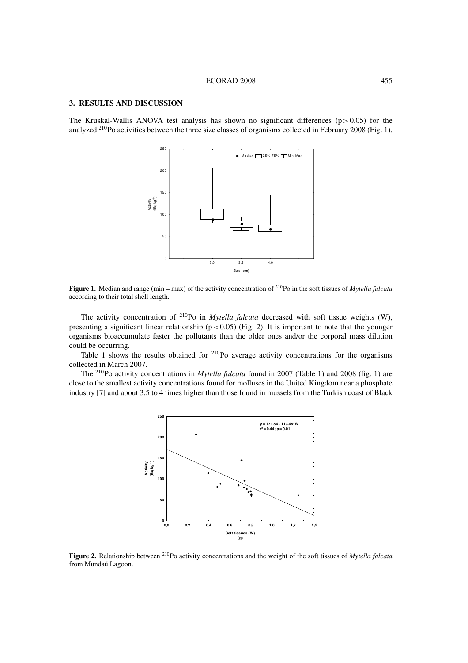## **3. RESULTS AND DISCUSSION**

The Kruskal-Wallis ANOVA test analysis has shown no significant differences ( $p > 0.05$ ) for the analyzed 210Po activities between the three size classes of organisms collected in February 2008 (Fig. 1).



**Figure 1.** Median and range (min – max) of the activity concentration of 210Po in the soft tissues of *Mytella falcata* according to their total shell length.

The activity concentration of <sup>210</sup>Po in *Mytella falcata* decreased with soft tissue weights (W), presenting a significant linear relationship ( $p < 0.05$ ) (Fig. 2). It is important to note that the younger organisms bioaccumulate faster the pollutants than the older ones and/or the corporal mass dilution could be occurring.

Table 1 shows the results obtained for <sup>210</sup>Po average activity concentrations for the organisms collected in March 2007.

The 210Po activity concentrations in *Mytella falcata* found in 2007 (Table 1) and 2008 (fig. 1) are close to the smallest activity concentrations found for molluscs in the United Kingdom near a phosphate industry [7] and about 3.5 to 4 times higher than those found in mussels from the Turkish coast of Black



**Figure 2.** Relationship between 210Po activity concentrations and the weight of the soft tissues of *Mytella falcata* from Mundaú Lagoon.